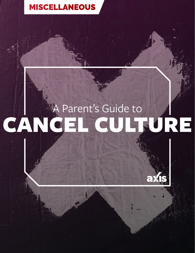## [MISCELLANEOUS](https://axis.org/parent-guides/#miscellaneous)

# Parent's Guide to<br>A FL CULTURE CANCE

axis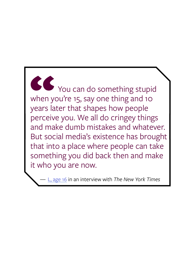You can do something stupid when you're 15, say one thing and 10 years later that shapes how people perceive you. We all do cringey things and make dumb mistakes and whatever. But social media's existence has brought that into a place where people can take something you did back then and make it who you are now. When y

— [L, age 16](https://www.nytimes.com/2019/10/31/style/cancel-culture.html) in an interview with *The New York Times*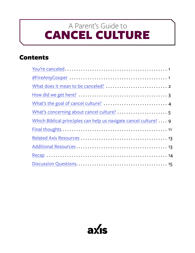# <span id="page-2-0"></span>CANCEL CULTURE A Parent's Guide to

## Contents

| Which Biblical principles can help us navigate cancel culture? 9 |
|------------------------------------------------------------------|
|                                                                  |
|                                                                  |
|                                                                  |
|                                                                  |
|                                                                  |

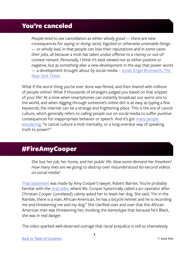#### <span id="page-3-0"></span>You're canceled

*People tend to see cancellation as either wholly good — there are new consequences for saying or doing racist, bigoted or otherwise untenable things — or wholly bad, in that people can lose their reputations and in some cases their jobs, all because a mob has taken undue offense to a clumsy or out-ofcontext remark. Personally, I think it's best viewed not as either positive or negative, but as something else: a new development in the way that power works — a development brought about by social media.* - [Jonah Engel Bromwich,](https://www.nytimes.com/2020/08/14/podcasts/daily-newsletter-cancel-culture-beirut-protest.html) *[The](https://www.nytimes.com/2020/08/14/podcasts/daily-newsletter-cancel-culture-beirut-protest.html)  [New York Times](https://www.nytimes.com/2020/08/14/podcasts/daily-newsletter-cancel-culture-beirut-protest.html)*

What if the worst thing you've ever done was filmed, and then shared with millions of people online? What if thousands of strangers judged you based on that snippet of your life? At a time when smartphones can instantly broadcast our worst sins to the world, and when digging through someone's online dirt is as easy as typing a few keywords, the internet can be a strange and frightening place. This is the era of cancel culture, which generally refers to calling people out on social media to suffer punitive consequences for inappropriate behavior or speech. And it's got many people [wondering,](https://www.vox.com/culture/2019/12/30/20879720/what-is-cancel-culture-explained-history-debate) "Is cancel culture a mob mentality, or a long-overdue way of speaking truth to power?"

### #FireAmyCooper

*She lost her job, her home, and her public life. Now some demand her freedom? How many lives are we going to destroy over misunderstood 60-second videos on social media?*

[That statement](https://www.nytimes.com/2020/07/06/nyregion/amy-cooper-false-report-charge.html) was made by Amy Cooper's lawyer, Robert Barnes. You're probably familiar with the [viral video](https://www.facebook.com/christian.cooper1/videos/10158742130625229/?eid=ARCL43DLKyuax-1v3j1Z758Vh_GFxZ6bQNKmAYYJ0DFWVAyzat0N4g7NycqwQZpJTF69ufEfMTx_z2nE&hc_ref=ARQvDLV_pqSdoRwGbTVav9EyzCGo24pyi00uLufiAFsAibL49EnoR7Y0RzsZ0pX3AVc&fref=nf) where Ms. Cooper hysterically called a 911 operator after Christian Cooper (unrelated) calmly asked her to leash her dog. She said, "I'm in the Ramble, there is a man, African-American, he has a bicycle helmet and he is recording me and threatening me and my dog." She clarified over and over that this African American man was threatening her, invoking the stereotype that because he's Black, she was in real danger.

The video sparked well-deserved outrage that racial prejudice is still so shamelessly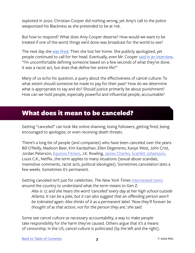<span id="page-4-0"></span>exploited in 2020. Christian Cooper did nothing wrong, yet Amy's call to the police weaponized his Blackness as she pretended to be at risk.

But how to respond? What does Amy Cooper deserve? How would we want to be treated if one of the worst things we'd done was broadcast for the world to see?

The next day she [was fired.](https://time.com/5842442/amy-cooper-dog-central-park/) Then she lost her home. She publicly apologized, yet people continued to call for her head. Eventually, even Mr. Cooper [said in an interview](https://www.nytimes.com/2020/08/10/podcasts/the-daily/cancel-culture.html?showTranscript=1), "I'm uncomfortable defining someone based on a few seconds of what they've done. It was a racist act, but does that define her entire life?"

Many of us echo his question, a query about the effectiveness of cancel culture: To what extent should someone be made to pay for their past? How do we determine what is appropriate to say and do? Should justice primarily be about punishment? How can we hold people, especially powerful and influential people, accountable?

#### What does it mean to be canceled?

Getting "canceled" can look like online shaming, losing followers, getting fired, being encouraged to apologize, or even receiving death threats.

There's a long list of people (and companies) who have been canceled over the years: Bill O'Reilly, Madison Beer, Kim Kardashian, Ellen Degeneres, Kanye West, John Crist, Jordan Peterson, [Equinox Fitness](https://www.targetmarketingmag.com/article/cancel-culture-is-real-heres-what-brands-need-to-know-about-it/), J.K. Rowling, [James Charles,](https://www.nytimes.com/2019/05/14/style/james-charles-makeup-artist-youtube.html) [Scarlett Johansson,](https://www.cnn.com/2019/12/08/us/2019-canceled-stories-trnd/index.html) Louis C.K., Netflix...the term applies to many situations (sexual abuse scandals, insensitive comments, racist acts, political ideologies). Sometimes cancelation lasts a few weeks. Sometimes it's permanent.

Getting canceled isn't just for celebrities. *The New York Times* [interviewed teens](https://www.nytimes.com/2019/10/31/style/cancel-culture.html) around the country to understand what the term means to Gen Z:

*Alex is 17, and she hears the word 'canceled' every day at her high school outside Atlanta. It can be a joke, but it can also suggest that an offending person won't be tolerated again. Alex thinks of it as a permanent label. 'Now they'll forever be thought of as that action, not for the person they are,' she said.* 

Some see cancel culture as necessary accountability, a way to make people take responsibility for the harm they've caused. Others argue that it's a means of censorship. In the US, cancel culture is politicized (by the left and the right),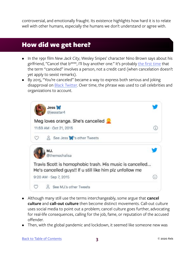<span id="page-5-0"></span>controversial, and emotionally fraught. Its existence highlights how hard it is to relate well with other humans, especially the humans we don't understand or agree with.

#### How did we get here?

- In the 1991 film *New Jack City*, Wesley Snipes' character Nino Brown says about his girlfriend, "Cancel that b\*\*\*\*, I'll buy another one." It's probably [the first time](https://www.vox.com/culture/2019/12/30/20879720/what-is-cancel-culture-explained-history-debate) that the term "canceled" involves a person, not a credit card (when cancelation doesn't yet apply to sexist remarks).
- By 2015, "You're canceled" became a way to express both serious and joking disapproval on [Black Twitter.](https://en.wikipedia.org/wiki/Black_Twitter) Over time, the phrase was used to call celebrities and organizations to account.



- Although many still use the terms interchangeably, some argue that **cancel culture** and **call-out culture** then become distinct movements. Call-out culture uses social media to point out a problem; cancel culture goes further, advocating for real-life consequences, calling for the job, fame, or reputation of the accused offender.
- Then, with the global pandemic and lockdown, it seemed like someone new was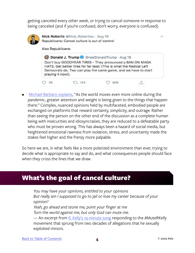<span id="page-6-0"></span>getting canceled every other week, or trying to cancel someone in response to being canceled (and if you're confused, don't worry, everyone is confused).



[Michael Barbaro explains](https://www.nytimes.com/2020/08/10/podcasts/the-daily/cancel-culture.html?), "As the world moves even more online during the pandemic, greater attention and weight is being given to the things that happen there." Complex, nuanced opinions held by multifaceted, embodied people are exchanged on platforms that reward certainty, simplicity, and outrage. Rather than seeing the person on the other end of the discussion as a complete human being with insecurities and idiosyncrasies, they are reduced to a defeatable party who must be proven wrong. This has always been a hazard of social media, but heightened emotional rawness from isolation, stress, and uncertainty made the stakes feel higher and the frenzy more palpable.

So here we are, in what feels like a more polarized environment than ever, trying to decide what is appropriate to say and do, and what consequences people should face when they cross the lines that we draw.

#### What's the goal of cancel culture?

*You may have your opinions, entitled to your opinions But really am I supposed to go to jail or lose my career because of your opinion? Yeah, go ahead and stone me, point your finger at me Turn the world against me, but only God can mute me.* — An excerpt from [R. Kelly's 19-minute song](https://www.mic.com/articles/190417/r-kelly-i-admit-song-mute-r-kelly-organizers-want-his-concerts-to-be-canceled) responding to the  $\#$ MuteRKelly movement that sprung from two decades of allegations that he sexually exploited minors.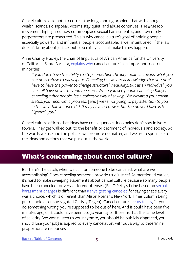<span id="page-7-0"></span>Cancel culture attempts to correct the longstanding problem that with enough wealth, scandals disappear, victims stay quiet, and abuse continues. The #MeToo movement highlighted how commonplace sexual harassment is, and how rarely perpetrators are prosecuted. This is why cancel culture's goal of holding people, especially powerful and influential people, accountable, is well intentioned. If the law doesn't bring about justice, public scrutiny can still make things happen.

Anne Charity Hudley, the chair of linguistics of African America for the University of California Santa Barbara, [explains why](https://www.vox.com/culture/2019/12/30/20879720/what-is-cancel-culture-explained-history-debate) cancel culture is an important tool for minorities:

*If you don't have the ability to stop something through political means, what you can do is refuse to participate. Canceling is a way to acknowledge that you don't have to have the power to change structural inequality...But as an individual, you can still have power beyond measure. When you see people canceling Kanye, canceling other people, it's a collective way of saying, 'We elevated your social status, your economic prowess, [and] we're not going to pay attention to you in the way that we once did...'I may have no power, but the power I have is to [ignore] you.'*

Cancel culture affirms that ideas have consequences. Ideologies don't stay in ivory towers. They get walked out, to the benefit or detriment of individuals and society. So the words we use and the policies we promote do matter, and we are responsible for the ideas and actions that we put out in the world.

#### What's concerning about cancel culture?

But here's the catch, when we call for someone to be canceled, what are we accomplishing? Does canceling someone provide true justice? As mentioned earlier, it's hard to make sweeping statements about cancel culture because so many people have been canceled for very different offenses (Bill O'Reilly's firing based on sexual [harassment charges](https://www.nytimes.com/2017/04/19/business/media/bill-oreilly-fox-news-allegations.html) is different than [Kanye getting canceled](https://www.scarymommy.com/kanye-west-is-officially-cancelled/) for saying that slavery was a choice, which is different than Alison Roman's New York Times column being put on hold after she slighted Chrissy Teigen). Cancel culture [seems to say,](https://www.nytimes.com/2020/08/10/podcasts/the-daily/cancel-culture.html) "If you do something wrong, you're supposed to be out of here. And it could have been five minutes ago, or it could have been 20, 30 years ago." It seems that the same level of severity (we won't listen to you anymore, you should be publicly disgraced, you should lose your job) is applied to every cancelation, without a way to determine proportionate responses.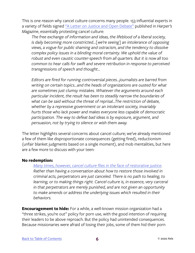This is one reason why cancel culture concerns many people. 153 influential experts in a variety of fields signed ["A Letter on Justice and Open Debate"](https://harpers.org/a-letter-on-justice-and-open-debate/) published in *Harper's Magazine*, essentially protesting cancel culture:

*The free exchange of information and ideas, the lifeblood of a liberal society, is daily becoming more constricted...[we're seeing] an intolerance of opposing views, a vogue for public shaming and ostracism, and the tendency to dissolve complex policy issues in a blinding moral certainty. We uphold the value of robust and even caustic counter-speech from all quarters. But it is now all too common to hear calls for swift and severe retribution in response to perceived transgressions of speech and thought…*

*Editors are fired for running controversial pieces...journalists are barred from writing on certain topics...and the heads of organizations are ousted for what are sometimes just clumsy mistakes. Whatever the arguments around each particular incident, the result has been to steadily narrow the boundaries of what can be said without the threat of reprisal...The restriction of debate, whether by a repressive government or an intolerant society, invariably hurts those who lack power and makes everyone less capable of democratic participation. The way to defeat bad ideas is by exposure, argument, and persuasion, not by trying to silence or wish them away.*

The letter highlights several concerns about cancel culture; we've already mentioned a few of them like disproportionate consequences (getting fired), reductionism (unfair blanket judgments based on a single moment), and mob mentalities, but here are a few more to discuss with your teen:

#### **No redemption:**

#### *[Many times, however, cancel culture flies in the face of restorative justice.](http://pappalardolaw.com/2020/07/cancel-culture-conflicts-with-criminal-justice-system/)*

*Rather than having a conversation about how to restore those involved in criminal acts, perpetrators are just canceled. There is no path to healing, to learning, or to making things right. Cancel culture is, in essence, very carceral in that perpetrators are merely punished, and are not given an opportunity to make amends or address the underlying issues which resulted in their behaviors.* 

**Encouragement to hide:** For a while, a well-known mission organization had a "three strikes, you're out" policy for porn use, with the good intention of requiring their leaders to be above reproach. But the policy had unintended consequences. Because missionaries were afraid of losing their jobs, some of them hid their porn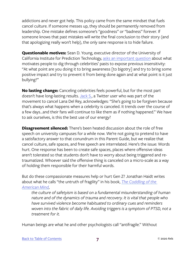addictions and never got help. This policy came from the same mindset that fuels cancel culture. If someone messes up, they should be permanently removed from leadership. One mistake defines someone's "goodness" or "badness" forever. If someone knows that past mistakes will write the final conclusion to their story (and that apologizing really won't help), the only sane response is to hide failure.

**Questionable motives:** Sean D. Young, executive director of the University of California Institute for Prediction Technology, [asks an important question](https://www.insider.com/celebrity-fight-canceled-quarantine-why-were-seeing-feuds-doja-lana-2020-5) about what motivates people to dig through celebrities' pasts to expose previous insensitivity: "At what point are you doing it to bring awareness [to bigotry] and try to bring some positive impact and try to prevent it from being done again and at what point is it just bullying?"

**No lasting change:** Canceling celebrities feels powerful, but for the most part doesn't have long-lasting results. [Jack S.,](https://www.insider.com/celebrity-fight-canceled-quarantine-why-were-seeing-feuds-doja-lana-2020-5) a Twitter user who was part of the movement to cancel Lana Del Rey, acknowledges: "She's going to be forgiven because that's always what happens when a celebrity is canceled. It trends over the course of a few days...and their fans will continue to like them as if nothing happened." We have to ask ourselves, is this the best use of our energy?

**Disagreement silenced:** There's been heated discussion about the role of free speech on university campuses for a while now. We're not going to pretend to have a satisfactory answer to that conundrum in this Parent Guide, but we realize that cancel culture, safe spaces, and free speech are interrelated. Here's the issue: Words hurt. One response has been to create safe spaces, places where offensive ideas aren't tolerated so that students don't have to worry about being triggered and retraumatized. Whoever said the offensive thing is canceled on a micro-scale as a way of holding them responsible for their harmful words.

But do these compassionate measures help or hurt Gen Z? Jonathan Haidt writes about what he calls "the untruth of fragility" in his book, *[The Coddling of the](https://www.amazon.com/Coddling-American-Mind-Intentions-Generation/dp/0735224897)  [American Mind](https://www.amazon.com/Coddling-American-Mind-Intentions-Generation/dp/0735224897)*,

*the culture of safetyism is based on a fundamental misunderstanding of human nature and of the dynamics of trauma and recovery. It is vital that people who have survived violence become habituated to ordinary cues and reminders*  woven into the fabric of daily life. Avoiding triggers is a symptom of PTSD, not a *treatment for it.*

Human beings are what he and other psychologists call "antifragile." Without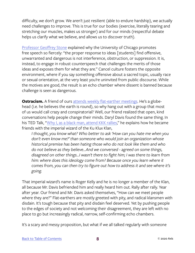difficulty, we don't grow. We aren't just resilient (able to endure hardship), we actually need challenges to improve. This is true for our bodies (exercise, literally tearing and stretching our muscles, makes us stronger) and for our minds (respectful debate helps us clarify what we believe, and allows us to discover truth).

[Professor Geoffrey Stone](https://cpb-us-w2.wpmucdn.com/voices.uchicago.edu/dist/3/337/files/2019/01/Statement-on-principles-of-free-inquiry-by-Prof.-Geoffrey-Stone-University-of-Chicago-News-1f1jp6l.pdf) explained why the University of Chicago promotes free speech so fiercely: "the proper response to ideas [students] find offensive, unwarranted and dangerous is not interference, obstruction, or suppression. It is, instead, to engage in robust counterspeech that challenges the merits of those ideas and exposes them for what they are." Cancel culture fosters the opposite environment, where if you say something offensive about a sacred topic, usually race or sexual orientation, at the very least you're uninvited from public discourse. While the motives are good, the result is an echo chamber where dissent is banned because challenge is seen as dangerous.

**Ostracism.** A friend of ours [attends weekly flat-earther meetings.](https://www.newscientist.com/article/mg24532642-900-embracing-flat-earth-science-denialism-can-help-us-overcome-it/) He's a globehead (i.e. he believes the earth is round), so why hang out with a group that most of us would call crazy and conspiratorial? Well, our friend realized that open, kind conversations help people change their minds. Daryl Davis found the same thing. In his TED Talk, ["Why I, as a black man, attend KKK rallies](https://www.ted.com/talks/daryl_davis_why_i_as_a_black_man_attend_kkk_rallies?language=en)," he explains how he became friends with the imperial wizard of the Ku Klux Klan,

*I thought, you know what? Who better to ask 'How can you hate me when you don't even know me?' than someone who would join an organization whose historical premise has been hating those who do not look like them and who do not believe as they believe...And we conversed - agreed on some things, disagreed on other things...I wasn't there to fight him; I was there to learn from him: where does this ideology come from? Because once you learn where it comes from, you can then try to figure out how to address it and see where it's going.*

That imperial wizard's name is Roger Kelly and he is no longer a member of the Klan, all because Mr. Davis befriended him and really heard him out. Rally after rally. Year after year. Our friend and Mr. Davis asked themselves, "How can we meet people where they are?" Flat-earthers are mostly greeted with pity, and radical klansmen with disdain. It's tough because that pity and disdain feel deserved. Yet by pushing people to the edges of society and not welcoming their disagreement, they are left with no place to go but increasingly radical, narrow, self-confirming echo chambers.

It's a scary and messy proposition, but what if we all talked regularly with someone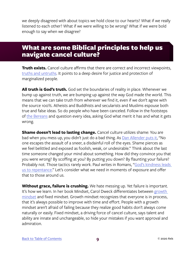<span id="page-11-0"></span>we deeply disagreed with about topics we hold close to our hearts? What if we really listened to each other? What if we were willing to be wrong? What if we were bold enough to say when we disagree?

#### What are some Biblical principles to help us navigate cancel culture?

**Truth exists.** Cancel culture affirms that there are correct and incorrect viewpoints, [truths and untruths](https://www.biblegateway.com/passage/?search=John 1&version=NIV). It points to a deep desire for justice and protection of marginalized people.

**All truth is God's truth.** God set the boundaries of reality in place. Whenever we bump up against truth, we are bumping up against the way God made the world. This means that we can take truth from wherever we find it, even if we don't agree with the source 100%. Atheists and Buddhists and secularists and Muslims espouse both true and false ideas. So do people who have been canceled. Follow in the footsteps of [the Bereans](https://biblehub.com/acts/17-11.htm) and question every idea, asking God what merit it has and what it gets wrong.

**Shame doesn't lead to lasting change.** Cancel culture utilizes shame: You are bad when you mess up, you didn't just do a bad thing. As [Dan Allender puts it,](https://theallendercenter.org/2018/02/shame-faced/) "No one escapes the assault of a sneer, a disdainful roll of the eyes. Shame pierces as we feel belittled and exposed as foolish, weak, or undesirable." Think about the last time someone changed your mind about something. How did they convince you that you were wrong? By scoffing at you? By putting you down? By flaunting your failure? Probably not. Those tactics rarely work. Paul writes in Romans, "[God's kindness leads](https://www.biblegateway.com/passage/?search=Romans 2&version=NIV)  [us to repentance.](https://www.biblegateway.com/passage/?search=Romans 2&version=NIV)" Let's consider what we need in moments of exposure and offer that to those around us.

**Without grace, failure is crushing.** We hate messing up. Yet failure is important. It's how we learn. In her book Mindset, Carol Dweck differentiates between [growth](https://www.brainpickings.org/2014/01/29/carol-dweck-mindset/)  [mindset](https://www.brainpickings.org/2014/01/29/carol-dweck-mindset/) and fixed mindset. Growth mindset recognizes that everyone is in process, that it's always possible to improve with time and effort. People with a growth mindset aren't afraid of failing because they realize good habits don't always come naturally or easily. Fixed mindset, a driving force of cancel culture, says talent and ability are innate and unchangeable, so hide your mistakes if you want approval and admiration.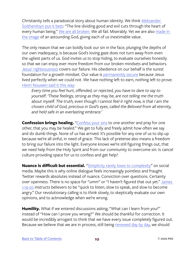Christianity tells a paradoxical story about human identity. We think [Aleksander](https://www.goodreads.com/quotes/7381910-the-line-dividing-good-and-evil-cuts-through-the-heart)  [Solzhenitsyn put it best](https://www.goodreads.com/quotes/7381910-the-line-dividing-good-and-evil-cuts-through-the-heart): "The line dividing good and evil cuts through the heart of every human being." [We are all broken.](https://www.biblegateway.com/passage/?search=Romans 3&version=ESV) We all fail. Miserably. Yet we are also [made in](https://www.biblegateway.com/passage/?search=Genesis 1%3A27&version=NIV)  [the image](https://www.biblegateway.com/passage/?search=Genesis 1%3A27&version=NIV) of an astounding God, giving each of us inestimable value.

The only reason that we can boldly look our sin in the face, plunging the depths of our own inadequacy, is because God's loving gaze does not turn away from even the ugliest parts of us. God invites us to stop hiding, to evaluate ourselves honestly so that we can enjoy ever more freedom from our broken mindsets and behaviors. [Jesus' righteousness](https://www.biblegateway.com/passage/?search=2 Corinthians 5&version=NIV) covers our failure. His obedience on our behalf is the surest foundation for a growth mindset. Our value is [permanently secure](https://www.biblegateway.com/passage/?search=Ephesians 1&version=NIV) because Jesus lived perfectly when we could not. We have nothing left to earn, nothing left to prove. [Henri Nouwen s](https://www.amazon.com/Life-Beloved-Spiritual-Living-Secular/dp/0824519868)ai[d it this way:](https://www.amazon.com/Life-Beloved-Spiritual-Living-Secular/dp/0824519868)

*Every time you feel hurt, offended, or rejected, you have to dare to say to yourself: 'These feelings, strong as they may be, are not telling me the truth about myself. The truth, even though I cannot feel it right now, is that I am the chosen child of God, precious in God's eyes, called the Beloved from all eternity, and held safe in an everlasting embrace.'*

**Confession brings healing.** ["Confess your sins](https://www.biblegateway.com/passage/?search=James 5:16&version=ESV) to one another and pray for one other, that you may be healed." We get to fully and freely admit how often we say and do dumb things. None of us has arrived. It's possible for any one of us to slip up because we're all sinful, in need of grace. This lack of pretense also means a freedom to bring our failure into the light. Everyone knows we're still figuring things out, that we need help from the Holy Spirit and from our community to overcome sin. Is cancel culture providing space for us to confess and get help?

**Nuance is difficult but essential.** ["Simplicity rarely loses to complexity"](https://www.nytimes.com/2020/08/10/podcasts/the-daily/cancel-culture.html) on social media. Maybe this is why online dialogue feels increasingly pointless and fraught. Twitter rewards absolutes instead of nuance. Conviction over questions. Certainty over openness. There is no space for "umm" or "I haven't figured that out yet." James [1:19-20](https://www.biblegateway.com/passage/?search=James+1%3A19-20&version=NIV) instructs believers to be "quick to listen, slow to speak, and slow to become angry." Our revolutionary calling is to think slowly, to skeptically evaluate our own opinions, and to acknowledge when we're wrong.

**Humility.** What if we entered discussions asking, "What can I learn from you?" instead of "How can I prove you wrong?" We should be thankful for correction. It would be incredibly arrogant to think that we have every issue completely figured out. Because we believe that we are in process, still being [renewed day by day,](https://www.biblegateway.com/passage/?search=2 Corinthians 4&version=ESV) we should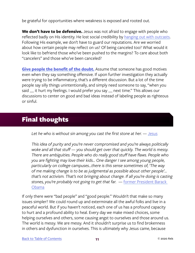<span id="page-13-0"></span>be grateful for opportunities where weakness is exposed and rooted out.

**We don't have to be defensive.** Jesus was not afraid to engage with people who reflected badly on His identity. He lost social credibility by [hanging out with outcasts](https://www.biblegateway.com/passage/?search=Mark 2%3A13-17&version=NIV). Following His example, we don't have to guard our reputations. Are we worried about how certain people may reflect on us? Of being canceled too? What would it look like to befriend those who've been pushed to the margins? To care about both "cancelers" and those who've been canceled?

**[Give people the benefit of the doubt.](https://www.biblegateway.com/passage/?search=Ephesians 4%3A32&version=NIV)** Assume that someone has good motives even when they say something offensive. If upon further investigation they actually were trying to be inflammatory, that's a different discussion. But a lot of the time people say silly things unintentionally, and simply need someone to say, "when you said \_ it hurt my feelings. I would prefer you say \_ next time." This allows our discussions to center on good and bad ideas instead of labeling people as righteous or sinful.

### Final thoughts

*Let he who is without sin among you cast the first stone at her.* — [Jesus](https://www.biblegateway.com/passage/?search=John 8&version=ESV)

*This idea of purity and you're never compromised and you're always politically woke and all that stuff — you should get over that quickly. The world is messy. There are ambiguities. People who do really good stuff have flaws. People who you are fighting may love their kids... One danger I see among young people, particularly on college campuses...there is this sense sometimes of, 'The way of me making change is to be as judgmental as possible about other people'... that's not activism. That's not bringing about change. If all you're doing is casting stones, you're probably not going to get that far.* — [former President](https://www.youtube.com/watch?v=qaHLd8de6nM) Barack [Obama](https://www.youtube.com/watch?v=qaHLd8de6nM)

If only there were "bad people" and "good people." Wouldn't that make so many issues simpler? We could round up and exterminate all the awful folks and live in a peaceful world. But if you haven't noticed, each one of us has a profound capacity to hurt and a profound ability to heal. Every day we make mixed choices, some helping ourselves and others, some causing angst to ourselves and those around us. The world is messy. We are messy. And it shouldn't surprise us to find brokenness in others and dysfunction in ourselves. This is ultimately why Jesus came, because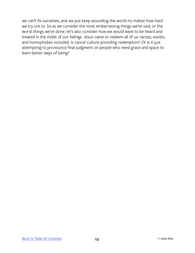we can't fix ourselves, and we just keep wounding the world no matter how hard we try not to. So as we consider the most embarrassing things we've said, or the worst things we've done, let's also consider how we would want to be heard and treated in the midst of our failings. Jesus came to redeem all of us: racists, sexists, and homophobes included. Is cancel culture providing redemption? Or is it just attempting to pronounce final judgment on people who need grace and space to learn better ways of being?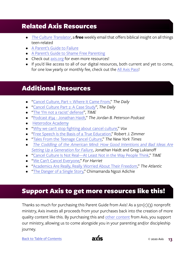### <span id="page-15-0"></span>Related Axis Resources

- *• [The Culture Translator](http://axis.org/ct)*, a **free** weekly email that offers biblical insight on all things teen-related
- [A Parent's Guide to Failure](https://axis.org/product/a-parents-guide-to-failure/)
- [A Parent's Guide to Shame Free Parenting](https://axis.org/product/a-parents-guide-to-shame-free-parenting/)
- Check out [axis.org](https://axis.org) for even more resources!
- If you'd like access to all of our digital resources, both current and yet to come, for one low yearly or monthly fee, check out the [All Axis Pass](https://axis.org/aap)!

### Additional Resources

- ["Cancel Culture, Part 1: Where It Came From,](https://www.nytimes.com/2020/08/10/podcasts/the-daily/cancel-culture.html?)" *The Daily*
- ["Cancel Culture Part 2: A Case Study"](https://www.nytimes.com/2020/08/11/podcasts/the-daily/cancel-culture.html), *The Daily*
- ["The 'I'm not a racist' defense](https://www.cnn.com/2020/05/28/opinions/amy-cooper-apology-opinion-williams/index.html)", *TIME*
- ["Podcast #34 Jonathan Haidt,](https://www.jordanbpeterson.com/podcast/episode-34/)" *The Jordan B. Peterson Podcast*
- [Heterodox Academy](https://heterodoxacademy.org/)
- ["Why we can't stop fighting about cancel culture,](https://www.vox.com/culture/2019/12/30/20879720/what-is-cancel-culture-explained-history-debate)" *Vox*
- ["Free Speech Is the Basis of a True Education](https://cpb-us-w2.wpmucdn.com/voices.uchicago.edu/dist/3/337/files/2019/01/Free-Speech-Is-the-Basis-of-a-True-Education-WSJ-1v5hqit.pdf)," Robert J. Zimmer
- ["Tales From the Teenage Cancel Culture](https://www.nytimes.com/2019/10/31/style/cancel-culture.html)," *The New York Times*
- *• [The Coddling of the American Mind: How Good Intentions and Bad Ideas Are](https://www.amazon.com/Coddling-American-Mind-Intentions-Generation/dp/0735224897)  [Setting](https://www.amazon.com/Coddling-American-Mind-Intentions-Generation/dp/0735224897) [Up a Generation for Failure](https://www.amazon.com/Coddling-American-Mind-Intentions-Generation/dp/0735224897)*, Jonathan Haidt and Greg Lukianoff
- ["Cancel Culture Is Not Real—At Least Not in the Way People Think](https://time.com/5735403/cancel-culture-is-not-real/)," *TIME*
- ["We Can't Cancel Everyone,](https://www.youtube.com/watch?v=DOwWsvUeDF0&feature=youtu.be)" *For Harriet*
- ["Academics Are Really, Really Worried About Their Freedom,](https://www.theatlantic.com/ideas/archive/2020/09/academics-are-really-really-worried-about-their-freedom/615724/)" *The Atlantic*
- ["The Danger of a Single Story,](https://www.ted.com/talks/chimamanda_ngozi_adichie_the_danger_of_a_single_story?language=en#t-323193)" Chimamanda Ngozi Adichie

## Support Axis to get more resources like this!

Thanks so much for purchasing this Parent Guide from Axis! As a 501(c)(3) nonprofit ministry, Axis invests all proceeds from your purchases back into the creation of more quality content like this. By purchasing this and [other content](https://axis.org) from Axis, you support our ministry, allowing us to come alongside you in your parenting and/or discipleship journey.

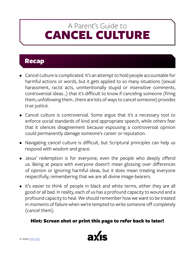# <span id="page-16-0"></span>CANCEL CULTURE A Parent's Guide to

#### Recap

- Cancel culture is complicated. It's an attempt to hold people accountable for harmful actions or words, but it gets applied to so many situations (sexual harassment, racist acts, unintentionally stupid or insensitive comments, controversial ideas…) that it's difficult to know if canceling someone (firing them, unfollowing them...there are lots of ways to cancel someone) provides true justice.
- Cancel culture is controversial. Some argue that it's a necessary tool to enforce social standards of kind and appropriate speech, while others fear that it silences disagreement because espousing a controversial opinion could permanently damage someone's career or reputation.
- Navigating cancel culture is difficult, but Scriptural principles can help us respond with wisdom and grace.
- Jesus' redemption is for everyone, even the people who deeply offend us. Being at peace with everyone doesn't mean glossing over differences of opinion or ignoring harmful ideas, but it does mean treating everyone respectfully, remembering that we are all divine image-bearers.
- It's easier to think of people in black and white terms, either they are all good or all bad. In reality, each of us has a profound capacity to wound and a profound capacity to heal. We should remember how we want to be treated in moments of failure when we're tempted to write someone off completely (cancel them).

#### Hint: Screen shot or print this page to refer back to later!